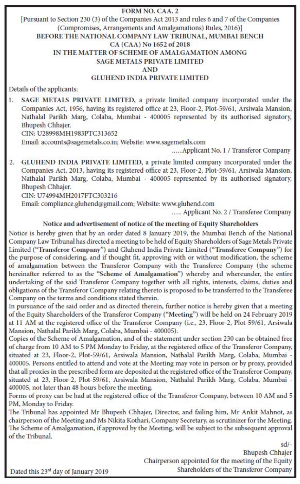#### **FORM NO. CAA. 2** [Pursuant to Section 230 (3) of the Companies Act 2013 and rules 6 and 7 of the Companies (Compromises, Arrangements and Amalgamations) Rules, 2016)] BEFORE THE NATIONAL COMPANY LAW TRIBUNAL, MUMBAI BENCH CA (CAA) No 1652 of 2018 IN THE MATTER OF SCHEME OF AMALGAMATION AMONG **SAGE METALS PRIVATE LIMITED AND GLUHEND INDIA PRIVATE LIMITED**

Details of the applicants:

 $1.5$ SAGE METALS PRIVATE LIMITED, a private limited company incorporated under the Companies Act, 1956, having its registered office at 23, Floor-2, Plot-59/61, Arsiwala Mansion, Nathalal Parikh Marg, Colaba, Mumbai - 400005 represented by its authorised signatory, Bhupesh Chhaier.

CIN: U28998MH1983PTC313652

Email: accounts@sagemetals.co.in; Website: www.sagemetals.com

..... Applicant No. 1 / Transferor Company

GLUHEND INDIA PRIVATE LIMITED, a private limited company incorporated under the  $2.$ Companies Act, 2013, having its registered office at 23, Floor-2, Plot-59/61, Arsiwala Mansion, Nathalal Parikh Marg, Colaba, Mumbai - 400005 represented by its authorised signatory, Bhupesh Chhajer.

CIN: U74994MH2017FTC303216

Email: compliance.gluhend@gmail.com; Website: www.gluhend.com

..... Applicant No. 2 / Transferee Company

#### Notice and advertisement of notice of the meeting of Equity Shareholders

Notice is hereby given that by an order dated 8 January 2019, the Mumbai Bench of the National Company Law Tribunal has directed a meeting to be held of Equity Shareholders of Sage Metals Private Limited ("Transferor Company") and Gluhend India Private Limited ("Transferee Company") for the purpose of considering, and if thought fit, approving with or without modification, the scheme of amalgamation between the Transferor Company with the Transferee Company (the scheme hereinafter referred to as the "Scheme of Amalgamation") whereby and whereunder, the entire undertaking of the said Transferor Company together with all rights, interests, claims, duties and obligations of the Transferor Company relating thereto is proposed to be transferred to the Transferee Company on the terms and conditions stated therein.

In pursuance of the said order and as directed therein, further notice is hereby given that a meeting of the Equity Shareholders of the Transferor Company ("Meeting") will be held on 24 February 2019 at 11 AM at the registered office of the Transferor Company (i.e., 23, Floor-2, Plot-59/61, Arsiwala Mansion, Nathalal Parikh Marg, Colaba, Mumbai - 400005).

Copies of the Scheme of Amalgamation, and of the statement under section 230 can be obtained free of charge from 10 AM to 5 PM Monday to Friday, at the registered office of the Transferor Company, situated at 23, Floor-2, Plot-59/61, Arsiwala Mansion, Nathalal Parikh Marg, Colaba, Mumbai -400005. Persons entitled to attend and vote at the Meeting may vote in person or by proxy, provided that all proxies in the prescribed form are deposited at the registered office of the Transferor Company, situated at 23, Floor-2, Plot-59/61, Arsiwala Mansion, Nathalal Parikh Marg, Colaba, Mumbai 400005, not later than 48 hours before the meeting.

Forms of proxy can be had at the registered office of the Transferor Company, between 10 AM and 5 PM, Monday to Friday.

The Tribunal has appointed Mr Bhupesh Chhajer, Director, and failing him, Mr Ankit Mahnot, as chairperson of the Meeting and Ms Nikita Kothari, Company Secretary, as scrutinizer for the Meeting. The Scheme of Amalgamation, if approved by the Meeting, will be subject to the subsequent approval of the Tribunal.

> $sd/$ -**Bhupesh Chhajer** Chairperson appointed for the meeting of the Equity Shareholders of the Transferor Company

Dated this 23<sup>rd</sup> day of January 2019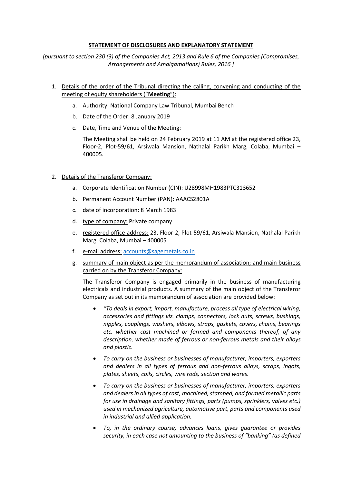### **STATEMENT OF DISCLOSURES AND EXPLANATORY STATEMENT**

*[pursuant to section 230 (3) of the Companies Act, 2013 and Rule 6 of the Companies (Compromises, Arrangements and Amalgamations) Rules, 2016 ]*

- 1. Details of the order of the Tribunal directing the calling, convening and conducting of the meeting of equity shareholders ("**Meeting**"):
	- a. Authority: National Company Law Tribunal, Mumbai Bench
	- b. Date of the Order: 8 January 2019
	- c. Date, Time and Venue of the Meeting:

The Meeting shall be held on 24 February 2019 at 11 AM at the registered office 23, Floor-2, Plot-59/61, Arsiwala Mansion, Nathalal Parikh Marg, Colaba, Mumbai – 400005.

## 2. Details of the Transferor Company:

- a. Corporate Identification Number (CIN): U28998MH1983PTC313652
- b. Permanent Account Number (PAN): AAACS2801A
- c. date of incorporation: 8 March 1983
- d. type of company: Private company
- e. registered office address: 23, Floor-2, Plot-59/61, Arsiwala Mansion, Nathalal Parikh Marg, Colaba, Mumbai – 400005
- f. e-mail address: [accounts@sagemetals.co.in](mailto:accounts@sagemetals.co.in)
- g. summary of main object as per the memorandum of association; and main business carried on by the Transferor Company:

The Transferor Company is engaged primarily in the business of manufacturing electricals and industrial products. A summary of the main object of the Transferor Company as set out in its memorandum of association are provided below:

- *"To deals in export, import, manufacture, process all type of electrical wiring, accessories and fittings viz. clamps, connectors, lock nuts, screws, bushings, nipples, couplings, washers, elbows, straps, gaskets, covers, chains, bearings etc. whether cast machined or formed and components thereof, of any description, whether made of ferrous or non-ferrous metals and their alloys and plastic.*
- *To carry on the business or businesses of manufacturer, importers, exporters and dealers in all types of ferrous and non-ferrous alloys, scraps, ingots, plates, sheets, coils, circles, wire rods, section and wares.*
- *To carry on the business or businesses of manufacturer, importers, exporters and dealers in all types of cast, machined, stamped, and formed metallic parts for use in drainage and sanitary fittings, parts (pumps, sprinklers, valves etc.) used in mechanized agriculture, automotive part, parts and components used in industrial and allied application.*
- *To, in the ordinary course, advances loans, gives guarantee or provides security, in each case not amounting to the business of "banking" (as defined*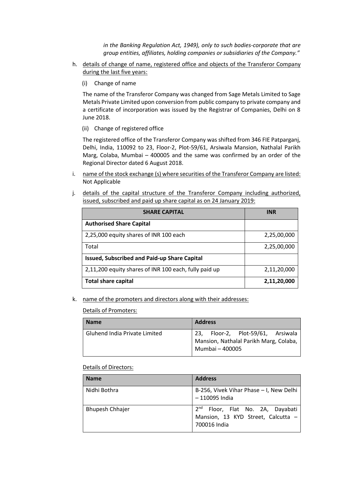*in the Banking Regulation Act, 1949), only to such bodies-corporate that are group entities, affiliates, holding companies or subsidiaries of the Company."*

- h. details of change of name, registered office and objects of the Transferor Company during the last five years:
	- (i) Change of name

The name of the Transferor Company was changed from Sage Metals Limited to Sage Metals Private Limited upon conversion from public company to private company and a certificate of incorporation was issued by the Registrar of Companies, Delhi on 8 June 2018.

(ii) Change of registered office

The registered office of the Transferor Company was shifted from 346 FIE Patparganj, Delhi, India, 110092 to 23, Floor-2, Plot-59/61, Arsiwala Mansion, Nathalal Parikh Marg, Colaba, Mumbai – 400005 and the same was confirmed by an order of the Regional Director dated 6 August 2018.

- i. name of the stock exchange (s) where securities of the Transferor Company are listed: Not Applicable
- j. details of the capital structure of the Transferor Company including authorized, issued, subscribed and paid up share capital as on 24 January 2019:

| <b>SHARE CAPITAL</b>                                  | <b>INR</b>  |
|-------------------------------------------------------|-------------|
| <b>Authorised Share Capital</b>                       |             |
| 2,25,000 equity shares of INR 100 each                | 2,25,00,000 |
| Total                                                 | 2,25,00,000 |
| <b>Issued, Subscribed and Paid-up Share Capital</b>   |             |
| 2,11,200 equity shares of INR 100 each, fully paid up | 2,11,20,000 |
| <b>Total share capital</b>                            | 2,11,20,000 |

k. name of the promoters and directors along with their addresses:

Details of Promoters:

| <b>Name</b>                   | <b>Address</b>                                                                                 |
|-------------------------------|------------------------------------------------------------------------------------------------|
| Gluhend India Private Limited | 23, Floor-2, Plot-59/61, Arsiwala<br>Mansion, Nathalal Parikh Marg, Colaba,<br>Mumbai - 400005 |

#### Details of Directors:

| <b>Name</b>            | <b>Address</b>                                                                                     |
|------------------------|----------------------------------------------------------------------------------------------------|
| Nidhi Bothra           | B-256, Vivek Vihar Phase - I, New Delhi<br>- 110095 India                                          |
| <b>Bhupesh Chhajer</b> | 2 <sup>nd</sup> Floor, Flat No. 2A, Dayabati<br>Mansion, 13 KYD Street, Calcutta -<br>700016 India |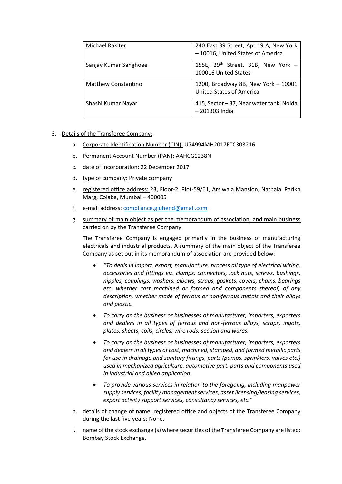| Michael Rakiter       | 240 East 39 Street, Apt 19 A, New York<br>- 10016, United States of America |
|-----------------------|-----------------------------------------------------------------------------|
| Sanjay Kumar Sanghoee | 155E, 29 <sup>th</sup> Street, 31B, New York -<br>100016 United States      |
| Matthew Constantino   | 1200, Broadway 8B, New York - 10001<br><b>United States of America</b>      |
| Shashi Kumar Nayar    | 415, Sector - 37, Near water tank, Noida<br>-201303 India                   |

- 3. Details of the Transferee Company:
	- a. Corporate Identification Number (CIN): U74994MH2017FTC303216
	- b. Permanent Account Number (PAN): AAHCG1238N
	- c. date of incorporation: 22 December 2017
	- d. type of company: Private company
	- e. registered office address: 23, Floor-2, Plot-59/61, Arsiwala Mansion, Nathalal Parikh Marg, Colaba, Mumbai – 400005
	- f. e-mail address: [compliance.gluhend@gmail.com](mailto:compliance.gluhend@gmail.com)
	- g. summary of main object as per the memorandum of association; and main business carried on by the Transferee Company:

The Transferee Company is engaged primarily in the business of manufacturing electricals and industrial products. A summary of the main object of the Transferee Company as set out in its memorandum of association are provided below:

- *"To deals in import, export, manufacture, process all type of electrical wiring, accessories and fittings viz. clamps, connectors, lock nuts, screws, bushings, nipples, couplings, washers, elbows, straps, gaskets, covers, chains, bearings etc. whether cast machined or formed and components thereof, of any description, whether made of ferrous or non-ferrous metals and their alloys and plastic.*
- *To carry on the business or businesses of manufacturer, importers, exporters and dealers in all types of ferrous and non-ferrous alloys, scraps, ingots, plates, sheets, coils, circles, wire rods, section and wares.*
- *To carry on the business or businesses of manufacturer, importers, exporters and dealers in all types of cast, machined, stamped, and formed metallic parts for use in drainage and sanitary fittings, parts (pumps, sprinklers, valves etc.) used in mechanized agriculture, automotive part, parts and components used in industrial and allied application.*
- *To provide various services in relation to the foregoing, including manpower supply services, facility management services, asset licensing/leasing services, export activity support services, consultancy services, etc."*
- h. details of change of name, registered office and objects of the Transferee Company during the last five years: None.
- i. name of the stock exchange (s) where securities of the Transferee Company are listed: Bombay Stock Exchange.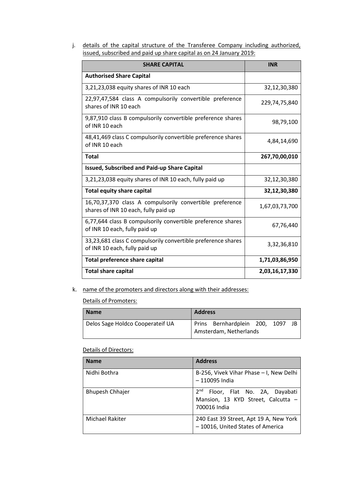j. details of the capital structure of the Transferee Company including authorized, issued, subscribed and paid up share capital as on 24 January 2019:

| <b>SHARE CAPITAL</b>                                                                             | <b>INR</b>     |
|--------------------------------------------------------------------------------------------------|----------------|
| <b>Authorised Share Capital</b>                                                                  |                |
| 3,21,23,038 equity shares of INR 10 each                                                         | 32,12,30,380   |
| 22,97,47,584 class A compulsorily convertible preference<br>shares of INR 10 each                | 229,74,75,840  |
| 9,87,910 class B compulsorily convertible preference shares<br>of INR 10 each                    | 98,79,100      |
| 48,41,469 class C compulsorily convertible preference shares<br>of INR 10 each                   | 4,84,14,690    |
| <b>Total</b>                                                                                     | 267,70,00,010  |
| <b>Issued, Subscribed and Paid-up Share Capital</b>                                              |                |
| 3,21,23,038 equity shares of INR 10 each, fully paid up                                          | 32,12,30,380   |
| <b>Total equity share capital</b>                                                                | 32,12,30,380   |
| 16,70,37,370 class A compulsorily convertible preference<br>shares of INR 10 each, fully paid up | 1,67,03,73,700 |
| 6,77,644 class B compulsorily convertible preference shares<br>of INR 10 each, fully paid up     | 67,76,440      |
| 33,23,681 class C compulsorily convertible preference shares<br>of INR 10 each, fully paid up    | 3,32,36,810    |
| <b>Total preference share capital</b>                                                            | 1,71,03,86,950 |
| <b>Total share capital</b>                                                                       | 2,03,16,17,330 |

k. name of the promoters and directors along with their addresses:

Details of Promoters:

| <b>Name</b>                      | <b>Address</b>         |                               |  |  |     |
|----------------------------------|------------------------|-------------------------------|--|--|-----|
| Delos Sage Holdco Cooperateif UA |                        | Prins Bernhardplein 200, 1097 |  |  | -IB |
|                                  | Amsterdam, Netherlands |                               |  |  |     |

# Details of Directors:

| <b>Name</b>            | <b>Address</b>                                                                                        |
|------------------------|-------------------------------------------------------------------------------------------------------|
| Nidhi Bothra           | B-256, Vivek Vihar Phase – I, New Delhi<br>- 110095 India                                             |
| <b>Bhupesh Chhajer</b> | 2 <sub>nd</sub><br>Floor, Flat No. 2A, Dayabati<br>Mansion, 13 KYD Street, Calcutta -<br>700016 India |
| Michael Rakiter        | 240 East 39 Street, Apt 19 A, New York<br>- 10016, United States of America                           |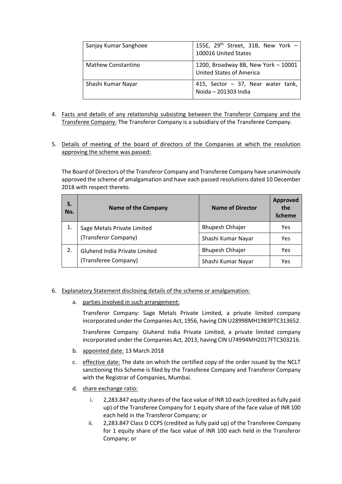| Sanjay Kumar Sanghoee | 155E, $29th$ Street, 31B, New York -<br>100016 United States           |
|-----------------------|------------------------------------------------------------------------|
| Mathew Constantino    | 1200, Broadway 8B, New York - 10001<br><b>United States of America</b> |
| Shashi Kumar Nayar    | 415, Sector - 37, Near water tank,<br>Noida - 201303 India             |

- 4. Facts and details of any relationship subsisting between the Transferor Company and the Transferee Company: The Transferor Company is a subsidiary of the Transferee Company.
- 5. Details of meeting of the board of directors of the Companies at which the resolution approving the scheme was passed:

The Board of Directors of the Transferor Company and Transferee Company have unanimously approved the scheme of amalgamation and have each passed resolutions dated 10 December 2018 with respect thereto.

| S.<br>No. | <b>Name of the Company</b>    | <b>Name of Director</b> | <b>Approved</b><br>the<br><b>Scheme</b> |
|-----------|-------------------------------|-------------------------|-----------------------------------------|
| 1.        | Sage Metals Private Limited   | <b>Bhupesh Chhajer</b>  | Yes                                     |
|           | (Transferor Company)          | Shashi Kumar Nayar      | Yes                                     |
| 2.        | Gluhend India Private Limited | <b>Bhupesh Chhajer</b>  | Yes                                     |
|           | (Transferee Company)          | Shashi Kumar Nayar      | Yes                                     |

### 6. Explanatory Statement disclosing details of the scheme or amalgamation:

a. parties involved in such arrangement:

Transferor Company: Sage Metals Private Limited, a private limited company incorporated under the Companies Act, 1956, having CIN U28998MH1983PTC313652.

Transferee Company: Gluhend India Private Limited, a private limited company incorporated under the Companies Act, 2013, having CIN U74994MH2017FTC303216.

- b. appointed date: 13 March 2018
- c. effective date: The date on which the certified copy of the order issued by the NCLT sanctioning this Scheme is filed by the Transferee Company and Transferor Company with the Registrar of Companies, Mumbai.
- d. share exchange ratio:
	- i. 2,283.847 equity shares of the face value of INR 10 each (credited as fully paid up) of the Transferee Company for 1 equity share of the face value of INR 100 each held in the Transferor Company; or
	- ii. 2,283.847 Class D CCPS (credited as fully paid up) of the Transferee Company for 1 equity share of the face value of INR 100 each held in the Transferor Company; or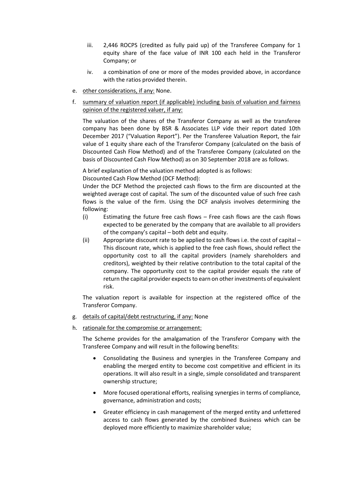- iii. 2,446 ROCPS (credited as fully paid up) of the Transferee Company for 1 equity share of the face value of INR 100 each held in the Transferor Company; or
- iv. a combination of one or more of the modes provided above, in accordance with the ratios provided therein.
- e. other considerations, if any: None.
- f. summary of valuation report (if applicable) including basis of valuation and fairness opinion of the registered valuer, if any:

The valuation of the shares of the Transferor Company as well as the transferee company has been done by BSR & Associates LLP vide their report dated 10th December 2017 ("Valuation Report"). Per the Transferee Valuation Report, the fair value of 1 equity share each of the Transferor Company (calculated on the basis of Discounted Cash Flow Method) and of the Transferee Company (calculated on the basis of Discounted Cash Flow Method) as on 30 September 2018 are as follows.

A brief explanation of the valuation method adopted is as follows:

Discounted Cash Flow Method (DCF Method):

Under the DCF Method the projected cash flows to the firm are discounted at the weighted average cost of capital. The sum of the discounted value of such free cash flows is the value of the firm. Using the DCF analysis involves determining the following:

- (i) Estimating the future free cash flows Free cash flows are the cash flows expected to be generated by the company that are available to all providers of the company's capital – both debt and equity.
- (ii) Appropriate discount rate to be applied to cash flows i.e. the cost of capital This discount rate, which is applied to the free cash flows, should reflect the opportunity cost to all the capital providers (namely shareholders and creditors), weighted by their relative contribution to the total capital of the company. The opportunity cost to the capital provider equals the rate of return the capital provider expects to earn on other investments of equivalent risk.

The valuation report is available for inspection at the registered office of the Transferor Company.

- g. details of capital/debt restructuring, if any: None
- h. rationale for the compromise or arrangement:

The Scheme provides for the amalgamation of the Transferor Company with the Transferee Company and will result in the following benefits:

- Consolidating the Business and synergies in the Transferee Company and enabling the merged entity to become cost competitive and efficient in its operations. It will also result in a single, simple consolidated and transparent ownership structure;
- More focused operational efforts, realising synergies in terms of compliance, governance, administration and costs;
- Greater efficiency in cash management of the merged entity and unfettered access to cash flows generated by the combined Business which can be deployed more efficiently to maximize shareholder value;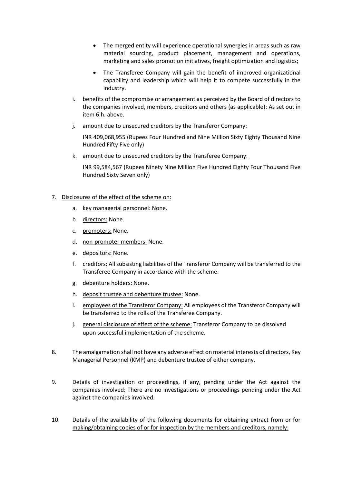- The merged entity will experience operational synergies in areas such as raw material sourcing, product placement, management and operations, marketing and sales promotion initiatives, freight optimization and logistics;
- The Transferee Company will gain the benefit of improved organizational capability and leadership which will help it to compete successfully in the industry.
- i. benefits of the compromise or arrangement as perceived by the Board of directors to the companies involved, members, creditors and others (as applicable): As set out in item 6.h. above.
- j. amount due to unsecured creditors by the Transferor Company:

INR 409,068,955 (Rupees Four Hundred and Nine Million Sixty Eighty Thousand Nine Hundred Fifty Five only)

k. amount due to unsecured creditors by the Transferee Company:

INR 99,584,567 (Rupees Ninety Nine Million Five Hundred Eighty Four Thousand Five Hundred Sixty Seven only)

## 7. Disclosures of the effect of the scheme on:

- a. key managerial personnel: None.
- b. directors: None.
- c. promoters: None.
- d. non-promoter members: None.
- e. depositors: None.
- f. creditors: All subsisting liabilities of the Transferor Company will be transferred to the Transferee Company in accordance with the scheme.
- g. debenture holders: None.
- h. deposit trustee and debenture trustee: None.
- i. employees of the Transferor Company: All employees of the Transferor Company will be transferred to the rolls of the Transferee Company.
- j. general disclosure of effect of the scheme: Transferor Company to be dissolved upon successful implementation of the scheme.
- 8. The amalgamation shall not have any adverse effect on material interests of directors, Key Managerial Personnel (KMP) and debenture trustee of either company.
- 9. Details of investigation or proceedings, if any, pending under the Act against the companies involved: There are no investigations or proceedings pending under the Act against the companies involved.
- 10. Details of the availability of the following documents for obtaining extract from or for making/obtaining copies of or for inspection by the members and creditors, namely: